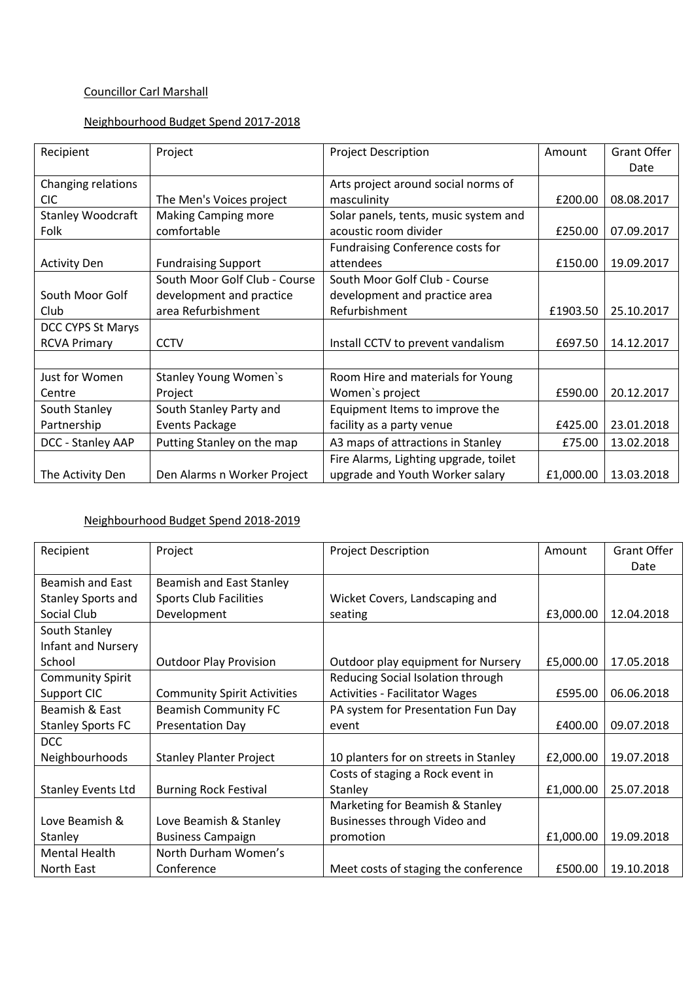# Councillor Carl Marshall

# Neighbourhood Budget Spend 2017-2018

| Recipient                | Project                       | <b>Project Description</b>            | Amount    | <b>Grant Offer</b> |
|--------------------------|-------------------------------|---------------------------------------|-----------|--------------------|
|                          |                               |                                       |           | Date               |
| Changing relations       |                               | Arts project around social norms of   |           |                    |
| <b>CIC</b>               | The Men's Voices project      | masculinity                           | £200.00   | 08.08.2017         |
| <b>Stanley Woodcraft</b> | <b>Making Camping more</b>    | Solar panels, tents, music system and |           |                    |
| Folk                     | comfortable                   | acoustic room divider                 | £250.00   | 07.09.2017         |
|                          |                               | Fundraising Conference costs for      |           |                    |
| <b>Activity Den</b>      | <b>Fundraising Support</b>    | attendees                             | £150.00   | 19.09.2017         |
|                          | South Moor Golf Club - Course | South Moor Golf Club - Course         |           |                    |
| South Moor Golf          | development and practice      | development and practice area         |           |                    |
| Club                     | area Refurbishment            | Refurbishment                         | £1903.50  | 25.10.2017         |
| DCC CYPS St Marys        |                               |                                       |           |                    |
| <b>RCVA Primary</b>      | <b>CCTV</b>                   | Install CCTV to prevent vandalism     | £697.50   | 14.12.2017         |
|                          |                               |                                       |           |                    |
| Just for Women           | <b>Stanley Young Women's</b>  | Room Hire and materials for Young     |           |                    |
| Centre                   | Project                       | Women's project                       | £590.00   | 20.12.2017         |
| South Stanley            | South Stanley Party and       | Equipment Items to improve the        |           |                    |
| Partnership              | <b>Events Package</b>         | facility as a party venue             | £425.00   | 23.01.2018         |
| DCC - Stanley AAP        | Putting Stanley on the map    | A3 maps of attractions in Stanley     | £75.00    | 13.02.2018         |
|                          |                               | Fire Alarms, Lighting upgrade, toilet |           |                    |
| The Activity Den         | Den Alarms n Worker Project   | upgrade and Youth Worker salary       | £1,000.00 | 13.03.2018         |

# Neighbourhood Budget Spend 2018-2019

| Recipient                 | Project                            | <b>Project Description</b>            | Amount    | Grant Offer |
|---------------------------|------------------------------------|---------------------------------------|-----------|-------------|
|                           |                                    |                                       |           | Date        |
| <b>Beamish and East</b>   | <b>Beamish and East Stanley</b>    |                                       |           |             |
| <b>Stanley Sports and</b> | <b>Sports Club Facilities</b>      | Wicket Covers, Landscaping and        |           |             |
| Social Club               | Development                        | seating                               | £3,000.00 | 12.04.2018  |
| South Stanley             |                                    |                                       |           |             |
| <b>Infant and Nursery</b> |                                    |                                       |           |             |
| School                    | <b>Outdoor Play Provision</b>      | Outdoor play equipment for Nursery    | £5,000.00 | 17.05.2018  |
| <b>Community Spirit</b>   |                                    | Reducing Social Isolation through     |           |             |
| Support CIC               | <b>Community Spirit Activities</b> | <b>Activities - Facilitator Wages</b> | £595.00   | 06.06.2018  |
| Beamish & East            | <b>Beamish Community FC</b>        | PA system for Presentation Fun Day    |           |             |
| <b>Stanley Sports FC</b>  | <b>Presentation Day</b>            | event                                 | £400.00   | 09.07.2018  |
| <b>DCC</b>                |                                    |                                       |           |             |
| Neighbourhoods            | <b>Stanley Planter Project</b>     | 10 planters for on streets in Stanley | £2,000.00 | 19.07.2018  |
|                           |                                    | Costs of staging a Rock event in      |           |             |
| <b>Stanley Events Ltd</b> | <b>Burning Rock Festival</b>       | Stanley                               | £1,000.00 | 25.07.2018  |
|                           |                                    | Marketing for Beamish & Stanley       |           |             |
| Love Beamish &            | Love Beamish & Stanley             | Businesses through Video and          |           |             |
| Stanley                   | <b>Business Campaign</b>           | promotion                             | £1,000.00 | 19.09.2018  |
| <b>Mental Health</b>      | North Durham Women's               |                                       |           |             |
| North East                | Conference                         | Meet costs of staging the conference  | £500.00   | 19.10.2018  |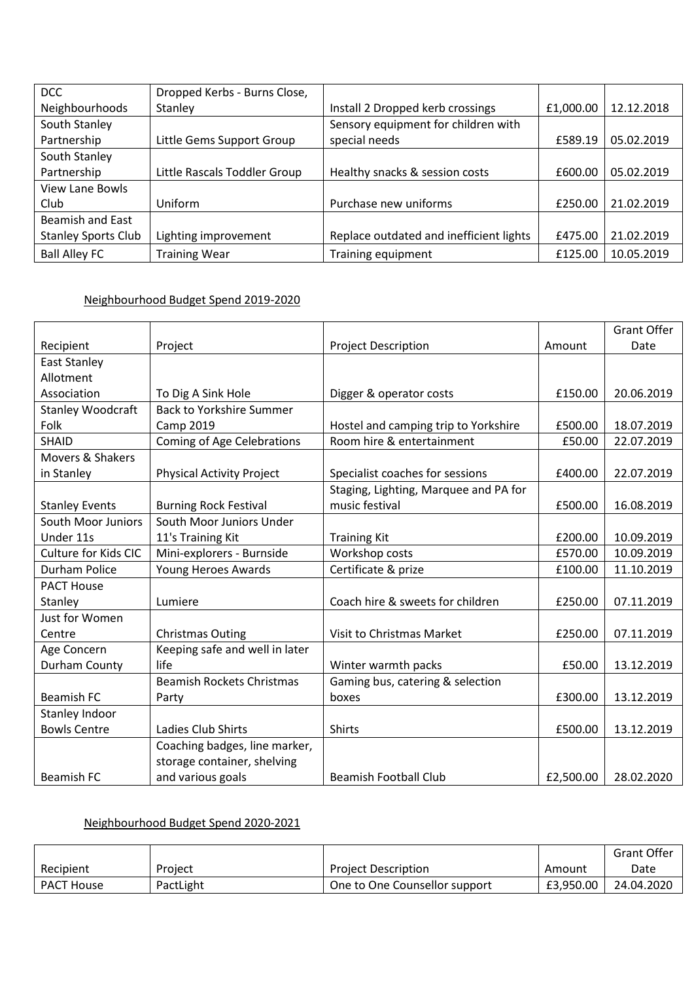| <b>DCC</b>                 | Dropped Kerbs - Burns Close, |                                         |           |            |
|----------------------------|------------------------------|-----------------------------------------|-----------|------------|
| Neighbourhoods             | Stanley                      | Install 2 Dropped kerb crossings        | £1,000.00 | 12.12.2018 |
| South Stanley              |                              | Sensory equipment for children with     |           |            |
| Partnership                | Little Gems Support Group    | special needs                           | £589.19   | 05.02.2019 |
| South Stanley              |                              |                                         |           |            |
| Partnership                | Little Rascals Toddler Group | Healthy snacks & session costs          | £600.00   | 05.02.2019 |
| View Lane Bowls            |                              |                                         |           |            |
| Club                       | Uniform                      | Purchase new uniforms                   | £250.00   | 21.02.2019 |
| Beamish and East           |                              |                                         |           |            |
| <b>Stanley Sports Club</b> | Lighting improvement         | Replace outdated and inefficient lights | £475.00   | 21.02.2019 |
| <b>Ball Alley FC</b>       | <b>Training Wear</b>         | Training equipment                      | £125.00   | 10.05.2019 |

#### Neighbourhood Budget Spend 2019-2020

|                          |                                   |                                       |           | <b>Grant Offer</b> |
|--------------------------|-----------------------------------|---------------------------------------|-----------|--------------------|
| Recipient                | Project                           | <b>Project Description</b>            | Amount    | Date               |
| <b>East Stanley</b>      |                                   |                                       |           |                    |
| Allotment                |                                   |                                       |           |                    |
| Association              | To Dig A Sink Hole                | Digger & operator costs               | £150.00   | 20.06.2019         |
| <b>Stanley Woodcraft</b> | <b>Back to Yorkshire Summer</b>   |                                       |           |                    |
| Folk                     | Camp 2019                         | Hostel and camping trip to Yorkshire  | £500.00   | 18.07.2019         |
| <b>SHAID</b>             | <b>Coming of Age Celebrations</b> | Room hire & entertainment             | £50.00    | 22.07.2019         |
| Movers & Shakers         |                                   |                                       |           |                    |
| in Stanley               | <b>Physical Activity Project</b>  | Specialist coaches for sessions       | £400.00   | 22.07.2019         |
|                          |                                   | Staging, Lighting, Marquee and PA for |           |                    |
| <b>Stanley Events</b>    | <b>Burning Rock Festival</b>      | music festival                        | £500.00   | 16.08.2019         |
| South Moor Juniors       | South Moor Juniors Under          |                                       |           |                    |
| Under 11s                | 11's Training Kit                 | <b>Training Kit</b>                   | £200.00   | 10.09.2019         |
| Culture for Kids CIC     | Mini-explorers - Burnside         | Workshop costs                        | £570.00   | 10.09.2019         |
| Durham Police            | Young Heroes Awards               | Certificate & prize                   | £100.00   | 11.10.2019         |
| <b>PACT House</b>        |                                   |                                       |           |                    |
| Stanley                  | Lumiere                           | Coach hire & sweets for children      | £250.00   | 07.11.2019         |
| Just for Women           |                                   |                                       |           |                    |
| Centre                   | <b>Christmas Outing</b>           | Visit to Christmas Market             | £250.00   | 07.11.2019         |
| Age Concern              | Keeping safe and well in later    |                                       |           |                    |
| Durham County            | life                              | Winter warmth packs                   | £50.00    | 13.12.2019         |
|                          | <b>Beamish Rockets Christmas</b>  | Gaming bus, catering & selection      |           |                    |
| <b>Beamish FC</b>        | Party                             | boxes                                 | £300.00   | 13.12.2019         |
| Stanley Indoor           |                                   |                                       |           |                    |
| <b>Bowls Centre</b>      | Ladies Club Shirts                | <b>Shirts</b>                         | £500.00   | 13.12.2019         |
|                          | Coaching badges, line marker,     |                                       |           |                    |
|                          | storage container, shelving       |                                       |           |                    |
| <b>Beamish FC</b>        | and various goals                 | Beamish Football Club                 | £2,500.00 | 28.02.2020         |

# Neighbourhood Budget Spend 2020-2021

|                   |           |                               |           | Grant Offer |
|-------------------|-----------|-------------------------------|-----------|-------------|
| Recipient         | Project   | <b>Project Description</b>    | Amount    | Date        |
| <b>PACT House</b> | PactLight | One to One Counsellor support | £3.950.00 | 24.04.2020  |